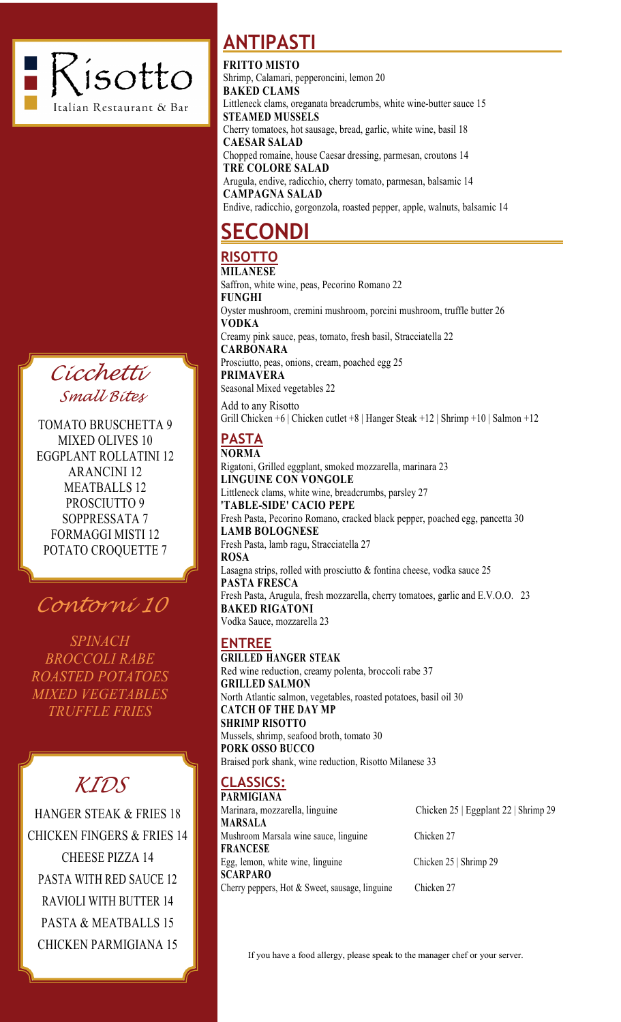

*Cicchetti Small Bites*

TOMATO BRUSCHETTA 9 MIXED OLIVES 10 EGGPLANT ROLLATINI 12 ARANCINI 12 MEATBALLS 12 PROSCIUTTO 9 SOPPRESSATA 7 FORMAGGI MISTI 12 POTATO CROQUETTE 7



*SPINACH BROCCOLI RABE ROASTED POTATOES MIXED VEGETABLES TRUFFLE FRIES*

# *KIDS*

HANGER STEAK & FRIES 18 CHICKEN FINGERS & FRIES 14 CHEESE PIZZA 14 PASTA WITH RED SAUCE 12 RAVIOLI WITH BUTTER 14 PASTA & MEATBALLS 15 CHICKEN PARMIGIANA 15

## **ANTIPASTI**

**FRITTO MISTO**

Shrimp, Calamari, pepperoncini, lemon 20 **BAKED CLAMS**  Littleneck clams, oreganata breadcrumbs, white wine-butter sauce 15 **STEAMED MUSSELS** Cherry tomatoes, hot sausage, bread, garlic, white wine, basil 18 **CAESAR SALAD** Chopped romaine, house Caesar dressing, parmesan, croutons 14 **TRE COLORE SALAD** Arugula, endive, radicchio, cherry tomato, parmesan, balsamic 14 **CAMPAGNA SALAD** Endive, radicchio, gorgonzola, roasted pepper, apple, walnuts, balsamic 14

## **SECONDI**

#### **RISOTTO MILANESE**

Saffron, white wine, peas, Pecorino Romano 22 **FUNGHI**  Oyster mushroom, cremini mushroom, porcini mushroom, truffle butter 26 **VODKA** Creamy pink sauce, peas, tomato, fresh basil, Stracciatella 22 **CARBONARA** Prosciutto, peas, onions, cream, poached egg 25 **PRIMAVERA** Seasonal Mixed vegetables 22

Add to any Risotto Grill Chicken +6 | Chicken cutlet +8 | Hanger Steak +12 | Shrimp +10 | Salmon +12

#### **PASTA NORMA**

Rigatoni, Grilled eggplant, smoked mozzarella, marinara 23 **LINGUINE CON VONGOLE** Littleneck clams, white wine, breadcrumbs, parsley 27 **'TABLE-SIDE' CACIO PEPE** Fresh Pasta, Pecorino Romano, cracked black pepper, poached egg, pancetta 30 **LAMB BOLOGNESE** Fresh Pasta, lamb ragu, Stracciatella 27 **ROSA**  Lasagna strips, rolled with prosciutto & fontina cheese, vodka sauce 25 **PASTA FRESCA**  Fresh Pasta, Arugula, fresh mozzarella, cherry tomatoes, garlic and E.V.O.O. 23 **BAKED RIGATONI** Vodka Sauce, mozzarella 23

#### **ENTREE**

**GRILLED HANGER STEAK** Red wine reduction, creamy polenta, broccoli rabe 37 **GRILLED SALMON** North Atlantic salmon, vegetables, roasted potatoes, basil oil 30 **CATCH OF THE DAY MP SHRIMP RISOTTO**  Mussels, shrimp, seafood broth, tomato 30 **PORK OSSO BUCCO**  Braised pork shank, wine reduction, Risotto Milanese 33

#### **CLASSICS:** PARMIGIAN

| PAKMIGIANA                                       |                                      |
|--------------------------------------------------|--------------------------------------|
| Marinara, mozzarella, linguine                   | Chicken 25   Eggplant 22   Shrimp 29 |
| MARSALA                                          |                                      |
| Mushroom Marsala wine sauce, linguine            | Chicken 27                           |
| <b>FRANCESE</b>                                  |                                      |
| Egg, lemon, white wine, linguine                 | Chicken 25   Shrimp 29               |
| SCARPARO                                         |                                      |
| Cherry peppers, Hot $&$ Sweet, sausage, linguine | Chicken 27                           |

If you have a food allergy, please speak to the manager chef or your server.